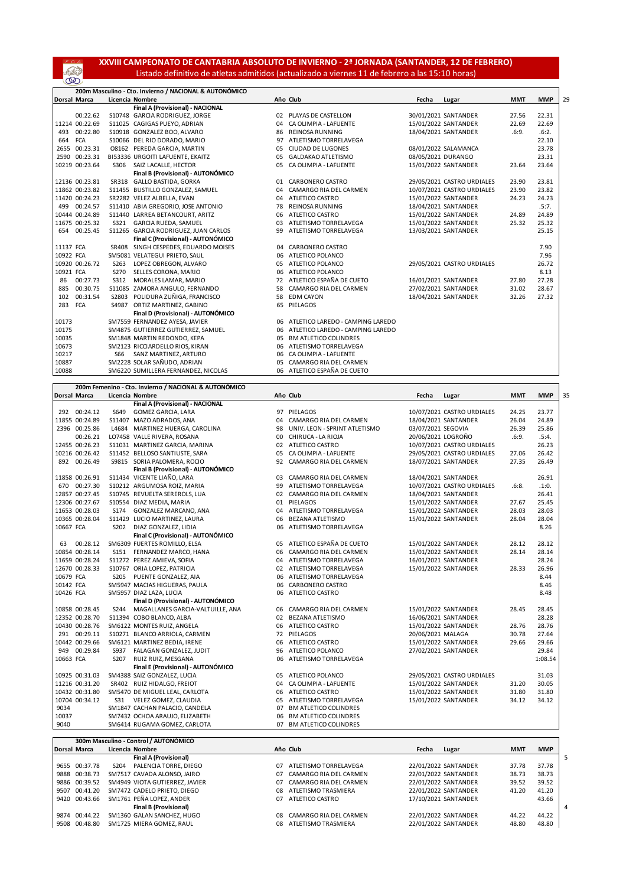**XXVIII CAMPEONATO DE CANTABRIA ABSOLUTO DE INVIERNO - 2ª JORNADA (SANTANDER, 12 DE FEBRERO)** Listado definitivo de atletas admitidos (actualizado a viernes 11 de febrero a las 15:10 horas)

SS)

|                     |              | 200m Masculino - Cto. Invierno / NACIONAL & AUTONÓMICO |    |                                     |       |                            |            |            |    |
|---------------------|--------------|--------------------------------------------------------|----|-------------------------------------|-------|----------------------------|------------|------------|----|
| <b>Dorsal Marca</b> |              | Licencia Nombre                                        |    | Año Club                            | Fecha | Lugar                      | <b>MMT</b> | <b>MMP</b> | 29 |
|                     |              | Final A (Provisional) - NACIONAL                       |    |                                     |       |                            |            |            |    |
|                     | 00:22.62     | S10748 GARCIA RODRIGUEZ, JORGE                         | 02 | PLAYAS DE CASTELLON                 |       | 30/01/2021 SANTANDER       | 27.56      | 22.31      |    |
| 11214 00:22.69      |              | S11025 CAGIGAS PUEYO, ADRIAN                           | 04 | CA OLIMPIA - LAFUENTE               |       | 15/01/2022 SANTANDER       | 22.69      | 22.69      |    |
| 493                 | 00:22.80     | S10918 GONZALEZ BOO, ALVARO                            | 86 | <b>REINOSA RUNNING</b>              |       | 18/04/2021 SANTANDER       | .6:9.      | .6:2.      |    |
| 664                 | <b>FCA</b>   | S10066 DEL RIO DORADO, MARIO                           | 97 | ATLETISMO TORRELAVEGA               |       |                            |            | 22.10      |    |
| 2655 00:23.31       |              | O8162 PEREDA GARCIA, MARTIN                            | 05 | <b>CIUDAD DE LUGONES</b>            |       | 08/01/2022 SALAMANCA       |            | 23.78      |    |
| 2590 00:23.31       |              | BI53336 URGOITI LAFUENTE, EKAITZ                       | 05 | GALDAKAO ATLETISMO                  |       | 08/05/2021 DURANGO         |            | 23.31      |    |
| 10219 00:23.64      |              | SAIZ LACALLE, HECTOR<br>S306                           | 05 | CA OLIMPIA - LAFUENTE               |       | 15/01/2022 SANTANDER       | 23.64      | 23.64      |    |
|                     |              | Final B (Provisional) - AUTONÓMICO                     |    |                                     |       |                            |            |            |    |
| 12136 00:23.81      |              | SR318 GALLO BASTIDA, GORKA                             | 01 | <b>CARBONERO CASTRO</b>             |       | 29/05/2021 CASTRO URDIALES | 23.90      | 23.81      |    |
| 11862 00:23.82      |              | S11455 BUSTILLO GONZALEZ, SAMUEL                       | 04 | CAMARGO RIA DEL CARMEN              |       | 10/07/2021 CASTRO URDIALES | 23.90      | 23.82      |    |
| 11420 00:24.23      |              | SR2282 VELEZ ALBELLA, EVAN                             | 04 | ATLETICO CASTRO                     |       | 15/01/2022 SANTANDER       | 24.23      | 24.23      |    |
|                     | 499 00:24.57 | S11410 ABIA GREGORIO, JOSE ANTONIO                     | 78 | <b>REINOSA RUNNING</b>              |       | 18/04/2021 SANTANDER       |            | .5:7.      |    |
| 10444 00:24.89      |              | S11440 LARREA BETANCOURT, ARITZ                        | 06 | ATLETICO CASTRO                     |       | 15/01/2022 SANTANDER       | 24.89      | 24.89      |    |
| 11675 00:25.32      |              | <b>GARCIA RUEDA, SAMUEL</b><br>S321                    | 03 | ATLETISMO TORRELAVEGA               |       | 15/01/2022 SANTANDER       | 25.32      | 25.32      |    |
|                     | 654 00:25.45 | S11265 GARCIA RODRIGUEZ, JUAN CARLOS                   | 99 | ATLETISMO TORRELAVEGA               |       | 13/03/2021 SANTANDER       |            | 25.15      |    |
|                     |              | Final C (Provisional) - AUTONÓMICO                     |    |                                     |       |                            |            |            |    |
| 11137 FCA           |              | SR408 SINGH CESPEDES, EDUARDO MOISES                   | 04 | <b>CARBONERO CASTRO</b>             |       |                            |            | 7.90       |    |
| 10922 FCA           |              | SM5081 VELATEGUI PRIETO, SAUL                          |    | 06 ATLETICO POLANCO                 |       |                            |            | 7.96       |    |
| 10920 00:26.72      |              | S263<br>LOPEZ OBREGON, ALVARO                          | 05 | ATLETICO POLANCO                    |       | 29/05/2021 CASTRO URDIALES |            | 26.72      |    |
| 10921 FCA           |              | S270<br>SELLES CORONA, MARIO                           | 06 | ATLETICO POLANCO                    |       |                            |            | 8.13       |    |
| 86                  | 00:27.73     | S312<br>MORALES LAMAR, MARIO                           | 72 | ATLETICO ESPAÑA DE CUETO            |       | 16/01/2021 SANTANDER       | 27.80      | 27.28      |    |
| 885                 | 00:30.75     | S11085 ZAMORA ANGULO, FERNANDO                         | 58 | CAMARGO RIA DEL CARMEN              |       | 27/02/2021 SANTANDER       | 31.02      | 28.67      |    |
| 102                 | 00:31.54     | POLIDURA ZUÑIGA, FRANCISCO<br>S2803                    | 58 | <b>EDM CAYON</b>                    |       | 18/04/2021 SANTANDER       | 32.26      | 27.32      |    |
| 283                 | <b>FCA</b>   | ORTIZ MARTINEZ, GABINO<br>S4987                        |    | 65 PIELAGOS                         |       |                            |            |            |    |
|                     |              | Final D (Provisional) - AUTONÓMICO                     |    |                                     |       |                            |            |            |    |
| 10173               |              | SM7559 FERNANDEZ AYESA, JAVIER                         |    | 06 ATLETICO LAREDO - CAMPING LAREDO |       |                            |            |            |    |
| 10175               |              | SM4875 GUTIERREZ GUTIERREZ. SAMUEL                     |    | 06 ATLETICO LAREDO - CAMPING LAREDO |       |                            |            |            |    |
| 10035               |              | SM1848 MARTIN REDONDO, KEPA                            |    | 05 BM ATLETICO COLINDRES            |       |                            |            |            |    |
| 10673               |              | SM2123 RICCIARDELLO RIOS, KIRAN                        |    | 06 ATLETISMO TORRELAVEGA            |       |                            |            |            |    |
| 10217               |              | SANZ MARTINEZ, ARTURO<br>S66                           |    | 06 CA OLIMPIA - LAFUENTE            |       |                            |            |            |    |
| 10887               |              | SM2228 SOLAR SAÑUDO, ADRIAN                            |    | 05 CAMARGO RIA DEL CARMEN           |       |                            |            |            |    |
| 10088               |              | SM6220 SUMILLERA FERNANDEZ, NICOLAS                    |    | 06 ATLETICO ESPAÑA DE CUETO         |       |                            |            |            |    |

|           |                |                  | 200m Femenino - Cto. Invierno / NACIONAL & AUTONÓMICO |    |                               |                    |                            |       |            |
|-----------|----------------|------------------|-------------------------------------------------------|----|-------------------------------|--------------------|----------------------------|-------|------------|
|           | Dorsal Marca   |                  | Licencia Nombre                                       |    | Año Club                      | Fecha              | Lugar                      | MMT   | <b>MMP</b> |
|           |                |                  | Final A (Provisional) - NACIONAL                      |    |                               |                    |                            |       |            |
|           | 292 00:24.12   | S649             | <b>GOMEZ GARCIA, LARA</b>                             |    | 97 PIELAGOS                   |                    | 10/07/2021 CASTRO URDIALES | 24.25 | 23.77      |
|           | 11855 00:24.89 |                  | S11407 MAZO ADRADOS, ANA                              | 04 | CAMARGO RIA DEL CARMEN        |                    | 18/04/2021 SANTANDER       | 26.04 | 24.89      |
|           | 2396 00:25.86  |                  | L4684 MARTINEZ HUERGA, CAROLINA                       | 98 | UNIV. LEON - SPRINT ATLETISMO | 03/07/2021 SEGOVIA |                            | 26.39 | 25.86      |
|           | 00:26.21       |                  | LO7458 VALLE RIVERA, ROSANA                           | 00 | CHIRUCA - LA RIOJA            | 20/06/2021 LOGROÑO |                            | .6:9. | .5:4.      |
|           | 12455 00:26.23 |                  | S11031 MARTINEZ GARCIA, MARINA                        |    | 02 ATLETICO CASTRO            |                    | 10/07/2021 CASTRO URDIALES |       | 26.23      |
|           | 10216 00:26.42 |                  | S11452 BELLOSO SANTIUSTE, SARA                        | 05 | CA OLIMPIA - LAFUENTE         |                    | 29/05/2021 CASTRO URDIALES | 27.06 | 26.42      |
|           | 892 00:26.49   |                  | S9815 SORIA PALOMERA, ROCIO                           | 92 | CAMARGO RIA DEL CARMEN        |                    | 18/07/2021 SANTANDER       | 27.35 | 26.49      |
|           |                |                  | Final B (Provisional) - AUTONÓMICO                    |    |                               |                    |                            |       |            |
|           | 11858 00:26.91 |                  | S11434 VICENTE LIAÑO, LARA                            |    | 03 CAMARGO RIA DEL CARMEN     |                    | 18/04/2021 SANTANDER       |       | 26.91      |
|           | 670 00:27.30   |                  | S10212 ARGUMOSA ROIZ, MARIA                           |    | 99 ATLETISMO TORRELAVEGA      |                    | 10/07/2021 CASTRO URDIALES | .6:8. | .1:0.      |
|           | 12857 00:27.45 |                  | S10745 REVUELTA SEREROLS, LUA                         |    | 02 CAMARGO RIA DEL CARMEN     |                    | 18/04/2021 SANTANDER       |       | 26.41      |
|           | 12306 00:27.67 |                  | S10554 DIAZ MEDIA, MARIA                              |    | 01 PIELAGOS                   |                    | 15/01/2022 SANTANDER       | 27.67 | 25.45      |
|           | 11653 00:28.03 | S174             | GONZALEZ MARCANO, ANA                                 |    | 04 ATLETISMO TORRELAVEGA      |                    | 15/01/2022 SANTANDER       | 28.03 | 28.03      |
|           | 10365 00:28.04 |                  | S11429 LUCIO MARTINEZ, LAURA                          |    | 06 BEZANA ATLETISMO           |                    | 15/01/2022 SANTANDER       | 28.04 | 28.04      |
| 10667 FCA |                | S202             | DIAZ GONZALEZ, LIDIA                                  |    | 06 ATLETISMO TORRELAVEGA      |                    |                            |       | 8.26       |
|           |                |                  | Final C (Provisional) - AUTONÓMICO                    |    |                               |                    |                            |       |            |
| 63        | 00:28.12       |                  | SM6309 FUERTES ROMILLO, ELSA                          |    | 05 ATLETICO ESPAÑA DE CUETO   |                    | 15/01/2022 SANTANDER       | 28.12 | 28.12      |
|           | 10854 00:28.14 |                  | S151 FERNANDEZ MARCO, HANA                            |    | 06 CAMARGO RIA DEL CARMEN     |                    | 15/01/2022 SANTANDER       | 28.14 | 28.14      |
|           | 11659 00:28.24 |                  | S11272 PEREZ AMIEVA, SOFIA                            |    | 04 ATLETISMO TORRELAVEGA      |                    | 16/01/2021 SANTANDER       |       | 28.24      |
|           | 12670 00:28.33 |                  | S10767 ORIA LOPEZ, PATRICIA                           |    | 02 ATLETISMO TORRELAVEGA      |                    | 15/01/2022 SANTANDER       | 28.33 | 26.96      |
| 10679 FCA |                | S <sub>205</sub> | PUENTE GONZALEZ, AIA                                  |    | 06 ATLETISMO TORRELAVEGA      |                    |                            |       | 8.44       |
| 10142 FCA |                |                  | SM5947 MACIAS HIGUERAS, PAULA                         |    | 06 CARBONERO CASTRO           |                    |                            |       | 8.46       |
| 10426 FCA |                |                  | SM5957 DIAZ LAZA, LUCIA                               |    | 06 ATLETICO CASTRO            |                    |                            |       | 8.48       |
|           |                |                  | Final D (Provisional) - AUTONÓMICO                    |    |                               |                    |                            |       |            |
|           | 10858 00:28.45 | S <sub>244</sub> | MAGALLANES GARCIA-VALTUILLE, ANA                      |    | 06 CAMARGO RIA DEL CARMEN     |                    | 15/01/2022 SANTANDER       | 28.45 | 28.45      |
|           | 12352 00:28.70 |                  | S11394 COBO BLANCO, ALBA                              |    | 02 BEZANA ATLETISMO           |                    | 16/06/2021 SANTANDER       |       | 28.28      |
|           | 10430 00:28.76 |                  | SM6122 MONTES RUIZ, ANGELA                            |    | 06 ATLETICO CASTRO            |                    | 15/01/2022 SANTANDER       | 28.76 | 28.76      |
|           | 291 00:29.11   |                  | S10271 BLANCO ARRIOLA, CARMEN                         |    | 72 PIELAGOS                   | 20/06/2021 MALAGA  |                            | 30.78 | 27.64      |
|           | 10442 00:29.66 |                  | SM6121 MARTINEZ BEDIA, IRENE                          |    | 06 ATLETICO CASTRO            |                    | 15/01/2022 SANTANDER       | 29.66 | 29.66      |
|           | 949 00:29.84   | S937             | FALAGAN GONZALEZ, JUDIT                               |    | 96 ATLETICO POLANCO           |                    | 27/02/2021 SANTANDER       |       | 29.84      |
| 10663 FCA |                | S207             | RUIZ RUIZ, MESGANA                                    |    | 06 ATLETISMO TORRELAVEGA      |                    |                            |       | 1:08.54    |
|           |                |                  | Final E (Provisional) - AUTONÓMICO                    |    |                               |                    |                            |       |            |
|           | 10925 00:31.03 |                  | SM4388 SAIZ GONZALEZ, LUCIA                           |    | 05 ATLETICO POLANCO           |                    | 29/05/2021 CASTRO URDIALES |       | 31.03      |
|           | 11216 00:31.20 |                  | SR402 RUIZ HIDALGO, FREIOT                            | 04 | CA OLIMPIA - LAFUENTE         |                    | 15/01/2022 SANTANDER       | 31.20 | 30.05      |
|           | 10432 00:31.80 |                  | SM5470 DE MIGUEL LEAL, CARLOTA                        |    | 06 ATLETICO CASTRO            |                    | 15/01/2022 SANTANDER       | 31.80 | 31.80      |
|           | 10704 00:34.12 |                  | S31 VELEZ GOMEZ, CLAUDIA                              |    | 05 ATLETISMO TORRELAVEGA      |                    | 15/01/2022 SANTANDER       | 34.12 | 34.12      |
| 9034      |                |                  | SM1847 CACHAN PALACIO, CANDELA                        |    | 07 BM ATLETICO COLINDRES      |                    |                            |       |            |
| 10037     |                |                  | SM7432 OCHOA ARAUJO, ELIZABETH                        |    | 06 BM ATLETICO COLINDRES      |                    |                            |       |            |
| 9040      |                |                  | SM6414 RUGAMA GOMEZ, CARLOTA                          |    | 07 BM ATLETICO COLINDRES      |                    |                            |       |            |

|                     |               | 300m Masculino - Control / AUTONÓMICO |     |                        |       |                      |            |            |
|---------------------|---------------|---------------------------------------|-----|------------------------|-------|----------------------|------------|------------|
| <b>Dorsal Marca</b> |               | Licencia Nombre                       |     | Año Club               | Fecha | Lugar                | <b>MMT</b> | <b>MMP</b> |
|                     |               | Final A (Provisional)                 |     |                        |       |                      |            |            |
|                     | 9655 00:37.78 | PALENCIA TORRE, DIEGO<br>S204         | 07  | ATLETISMO TORRELAVEGA  |       | 22/01/2022 SANTANDER | 37.78      | 37.78      |
|                     | 9888 00:38.73 | SM7517 CAVADA ALONSO, JAIRO           | 07  | CAMARGO RIA DEL CARMEN |       | 22/01/2022 SANTANDER | 38.73      | 38.73      |
|                     | 9886 00:39.52 | SM4949 VIOTA GUTIERREZ, JAVIER        | 07  | CAMARGO RIA DEL CARMEN |       | 22/01/2022 SANTANDER | 39.52      | 39.52      |
| 9507                | 00:41.20      | SM7472 CADELO PRIETO, DIEGO           | 08  | ATLETISMO TRASMIERA    |       | 22/01/2022 SANTANDER | 41.20      | 41.20      |
|                     | 9420 00:43.66 | SM1761 PEÑA LOPEZ, ANDER              | 07  | ATLETICO CASTRO        |       | 17/10/2021 SANTANDER |            | 43.66      |
|                     |               | <b>Final B (Provisional)</b>          |     |                        |       |                      |            |            |
|                     | 9874 00:44.22 | SM1360 GALAN SANCHEZ, HUGO            | 08. | CAMARGO RIA DEL CARMEN |       | 22/01/2022 SANTANDER | 44.22      | 44.22      |
| 9508                | 00:48.80      | SM1725 MIERA GOMEZ. RAUL              | n8. | ATLETISMO TRASMIERA    |       | 22/01/2022 SANTANDER | 48.80      | 48.80      |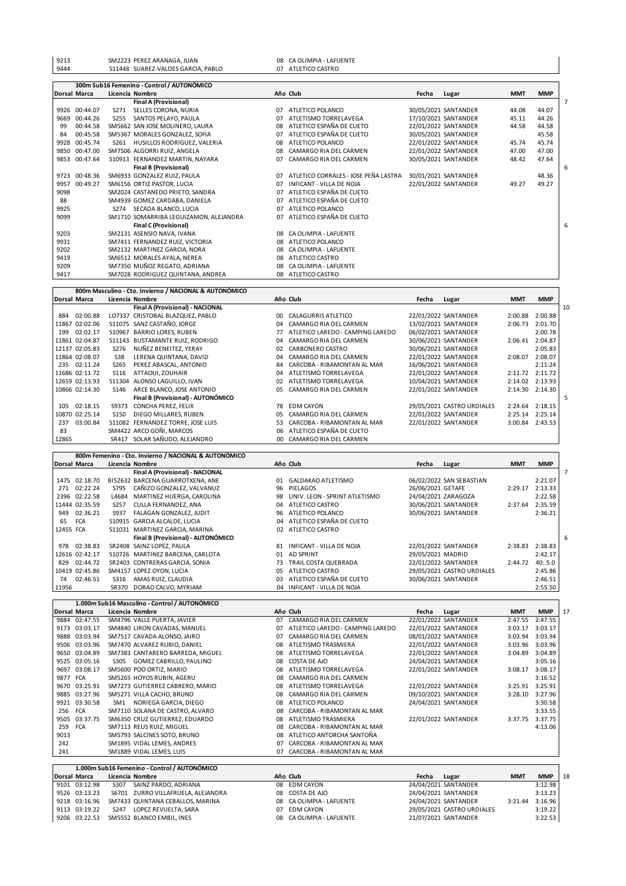| 9213                                                                 |            | SM2223 PEREZ ARANAGA, JUAN                                     |    | 08 CA OLIMPIA - LAFUENTE                |                   |                                              |            |                            |
|----------------------------------------------------------------------|------------|----------------------------------------------------------------|----|-----------------------------------------|-------------------|----------------------------------------------|------------|----------------------------|
| 9444                                                                 |            | S11448 SUAREZ-VALDES GARCIA, PABLO                             |    | 07 ATLETICO CASTRO                      |                   |                                              |            |                            |
|                                                                      |            |                                                                |    |                                         |                   |                                              |            |                            |
| Dorsal Marca                                                         |            | 300m Sub16 Femenino - Control / AUTONÓMICO<br>Licencia Nombre  |    | Año Club                                | Fecha             | Lugar                                        | <b>MMT</b> | <b>MMP</b>                 |
|                                                                      |            | <b>Final A (Provisional)</b>                                   |    |                                         |                   |                                              |            |                            |
| 9926 00:44.07                                                        |            | S271 SELLES CORONA, NURIA                                      |    | 07 ATLETICO POLANCO                     |                   | 30/05/2021 SANTANDER                         | 44.08      | 44.07                      |
| 9669 00:44.26                                                        |            | S255 SANTOS PELAYO, PAULA                                      |    | 07 ATLETISMO TORRELAVEGA                |                   | 17/10/2021 SANTANDER                         | 45.11      | 44.26                      |
| 99<br>00:44.58                                                       |            | SM5662 SAN JOSE MOLINERO, LAURA                                | 08 | ATLETICO ESPAÑA DE CUETO                |                   | 22/01/2022 SANTANDER                         | 44.58      | 44.58                      |
| 00:45.58<br>84                                                       |            | SM5367 MORALES GONZALEZ, SOFIA                                 |    | 07 ATLETICO ESPAÑA DE CUETO             |                   | 30/05/2021 SANTANDER                         |            | 45.58                      |
| 9928 00:45.74                                                        |            | S261 HUSILLOS RODRIGUEZ, VALERIA                               |    | 08 ATLETICO POLANCO                     |                   | 22/01/2022 SANTANDER                         | 45.74      | 45.74                      |
| 9850 00:47.00                                                        |            | SM7506 ALGORRI RUIZ, ANGELA                                    |    | 08 CAMARGO RIA DEL CARMEN               |                   | 22/01/2022 SANTANDER                         | 47.00      | 47.00                      |
| 9853 00:47.64                                                        |            | S10913 FERNANDEZ MARTIN, NAYARA                                |    | 07 CAMARGO RIA DEL CARMEN               |                   | 30/05/2021 SANTANDER                         | 48.42      | 47.64                      |
|                                                                      |            | <b>Final B (Provisional)</b>                                   |    |                                         |                   |                                              |            |                            |
| 9723 00:48.36                                                        |            | SM6933 GONZALEZ RUIZ, PAULA                                    |    | 07 ATLETICO CORRALES - JOSE PEÑA LASTRA |                   | 30/01/2021 SANTANDER                         |            | 48.36                      |
| 9957 00:49.27                                                        |            | SM6156 ORTIZ PASTOR, LUCIA                                     |    | 07 INFICANT - VILLA DE NOJA             |                   | 22/01/2022 SANTANDER                         | 49.27      | 49.27                      |
| 9098                                                                 |            | SM2024 CASTANEDO PRIETO, SANDRA                                |    | 07 ATLETICO ESPAÑA DE CUETO             |                   |                                              |            |                            |
| 88                                                                   |            | SM4939 GOMEZ CARDABA, DANIELA                                  |    | 07 ATLETICO ESPAÑA DE CUETO             |                   |                                              |            |                            |
| 9925                                                                 |            | S274 SECADA BLANCO, LUCIA                                      |    | 07 ATLETICO POLANCO                     |                   |                                              |            |                            |
| 9099                                                                 |            | SM1710 SOMARRIBA LEGUIZAMON, ALEJANDRA                         |    | 07 ATLETICO ESPAÑA DE CUETO             |                   |                                              |            |                            |
|                                                                      |            | Final C (Provisional)                                          |    |                                         |                   |                                              |            |                            |
| 9203                                                                 |            | SM2131 ASENSIO NAVA, IVANA                                     | 08 | CA OLIMPIA - LAFUENTE                   |                   |                                              |            |                            |
| 9931                                                                 |            | SM7411 FERNANDEZ RUIZ, VICTORIA                                | 08 | ATLETICO POLANCO                        |                   |                                              |            |                            |
| 9202                                                                 |            | SM2132 MARTINEZ GARCIA, NORA                                   |    | 08 CA OLIMPIA - LAFUENTE                |                   |                                              |            |                            |
| 9419                                                                 |            | SM6512 MORALES AYALA, NEREA                                    | 08 | ATLETICO CASTRO                         |                   |                                              |            |                            |
| 9209                                                                 |            | SM7350 MUÑOZ REGATO, ADRIANA                                   | 08 | CA OLIMPIA - LAFUENTE                   |                   |                                              |            |                            |
| 9417                                                                 |            | SM7028 RODRIGUEZ QUINTANA, ANDREA                              | 08 | ATLETICO CASTRO                         |                   |                                              |            |                            |
|                                                                      |            | 800m Masculino - Cto. Invierno / NACIONAL & AUTONÓMICO         |    |                                         |                   |                                              |            |                            |
| <b>Dorsal Marca</b>                                                  |            | Licencia Nombre<br>Final A (Provisional) - NACIONAL            |    | Año Club                                | Fecha             | Lugar                                        | <b>MMT</b> | <b>MMP</b>                 |
| 884 02:00.88                                                         |            |                                                                | 00 | CALAGURRIS ATLETICO                     |                   |                                              | 2:00.88    | 2:00.88                    |
|                                                                      |            | LO7337 CRISTOBAL BLAZQUEZ, PABLO<br>S11075 SANZ CASTAÑO, JORGE | 04 | CAMARGO RIA DEL CARMEN                  |                   | 22/01/2022 SANTANDER<br>13/02/2021 SANTANDER |            | 2:06.73 2:01.70            |
| 199 02:02.17                                                         |            | S10967 BARRIO LORES, RUBEN                                     |    | 77 ATLETICO LAREDO - CAMPING LAREDO     |                   | 06/02/2021 SANTANDER                         |            | 2:00.78                    |
| 11867 02:02.06<br>11861 02:04.87                                     |            |                                                                | 04 | CAMARGO RIA DEL CARMEN                  |                   | 30/06/2021 SANTANDER                         |            | 2:06.41 2:04.87            |
|                                                                      | S276       | S11143 BUSTAMANTE RUIZ, RODRIGO<br>NUÑEZ BENEITEZ, YERAY       |    | 02 CARBONERO CASTRO                     |                   | 30/06/2021 SANTANDER                         |            | 2:05.83                    |
|                                                                      | <b>S38</b> | LERENA QUINTANA, DAVID                                         | 04 | CAMARGO RIA DEL CARMEN                  |                   | 22/01/2022 SANTANDER                         |            | 2:08.07 2:08.07            |
| 235 02:11.24                                                         | S265       | PEREZ ABASCAL, ANTONIO                                         | 84 | CARCOBA - RIBAMONTAN AL MAR             |                   | 16/06/2021 SANTANDER                         |            | 2:11:24                    |
|                                                                      |            | S116 ATTAOUI, ZOUHAIR                                          | 04 | ATLETISMO TORRELAVEGA                   |                   | 22/01/2022 SANTANDER                         |            | 2:11.72 2:11.72            |
| 12137 02:05.83<br>11864 02:08.07<br>11686 02:11.72<br>12659 02:13.93 |            | S11304 ALONSO LAGUILLO, IVAN                                   | 02 | ATLETISMO TORRELAVEGA                   |                   | 10/04/2021 SANTANDER                         |            | 2:14.02 2:13.93            |
|                                                                      | S146       | ARCE BLANCO, JOSE ANTONIO                                      | 05 | CAMARGO RIA DEL CARMEN                  |                   | 22/01/2022 SANTANDER                         |            | 2:14.30 2:14.30            |
|                                                                      |            | Final B (Provisional) - AUTONÓMICO                             |    |                                         |                   |                                              |            |                            |
| 105 02:18.15                                                         |            | S9373 CONCHA PEREZ, FELIX                                      | 78 | <b>EDM CAYON</b>                        |                   | 29/05/2021 CASTRO URDIALES                   |            | 2:24.64 2:18.15            |
| 10866 02:14.30<br>10870 02:25.14                                     | S150       | DIEGO MILLARES, RUBEN                                          | 05 | CAMARGO RIA DEL CARMEN                  |                   | 22/01/2022 SANTANDER                         |            | 2:25.14 2:25.14            |
| 237 03:00.84                                                         |            | S11082 FERNANDEZ TORRE, JOSE LUIS                              | 53 | CARCOBA - RIBAMONTAN AL MAR             |                   | 22/01/2022 SANTANDER                         |            | 3:00.84 2:43.53            |
| 83                                                                   |            | SM4422 ARCO GOÑI, MARCOS                                       | 06 | ATLETICO ESPAÑA DE CUETO                |                   |                                              |            |                            |
| 12865                                                                |            | SR417 SOLAR SAÑUDO, ALEJANDRO                                  | 00 | CAMARGO RIA DEL CARMEN                  |                   |                                              |            |                            |
|                                                                      |            |                                                                |    |                                         |                   |                                              |            |                            |
|                                                                      |            | 800m Femenino - Cto. Invierno / NACIONAL & AUTONÓMICO          |    |                                         |                   |                                              |            |                            |
|                                                                      |            | Licencia Nombre<br>Final A (Provisional) - NACIONAL            |    | Año Club                                | Fecha             | Lugar                                        | <b>MMT</b> | <b>MMP</b>                 |
|                                                                      |            | BI52632 BARCENA GUARROTXENA, ANE                               |    | 01 GALDAKAO ATLETISMO                   |                   | 06/02/2022 SAN SEBASTIAN                     |            | 2:21.07                    |
| Dorsal Marca<br>1475 02:18.70                                        | S795       |                                                                | 96 | PIELAGOS                                |                   |                                              |            |                            |
| 271 02:22.24                                                         |            | CAÑIZO GONZALEZ, VALVANUZ<br>L4684 MARTINEZ HUERGA, CAROLINA   | 98 | UNIV. LEON - SPRINT ATLETISMO           | 26/06/2021 GETAFE | 24/04/2021 ZARAGOZA                          |            | 2:29.17 2:13.33<br>2:22.58 |
| 2396 02:22.58<br>11444 02:35.59                                      |            | S257 CULLA FERNANDEZ, ANA                                      |    | 04 ATLETICO CASTRO                      |                   | 30/06/2021 SANTANDER                         |            | 2:37.64 2:35.59            |

|           | $\sim$ $\sim$  |      | LTUUT IIIAIIIIILLEIIULIIUA. CAIIULIIIA |     | <b>טואוכו ואוואו הכ־יוט בער ביוט אויט</b> | 27/07/2021 LAIMOULA        |         | 2.22.30         |  |
|-----------|----------------|------|----------------------------------------|-----|-------------------------------------------|----------------------------|---------|-----------------|--|
|           | 11444 02:35.59 | S257 | CULLA FERNANDEZ, ANA                   |     | 04 ATLETICO CASTRO                        | 30/06/2021 SANTANDER       |         | 2:37.64 2:35.59 |  |
|           | 949 02:36.21   | S937 | FALAGAN GONZALEZ, JUDIT                |     | 96 ATLETICO POLANCO                       | 30/06/2021 SANTANDER       |         | 2:36.21         |  |
| 65        | FCA            |      | S10915 GARCIA ALCALDE, LUCIA           |     | 04 ATLETICO ESPAÑA DE CUETO               |                            |         |                 |  |
| 12455 FCA |                |      | S11031 MARTINEZ GARCIA, MARINA         |     | 02 ATLETICO CASTRO                        |                            |         |                 |  |
|           |                |      | Final B (Provisional) - AUTONÓMICO     |     |                                           |                            |         |                 |  |
|           | 978 02:38.83   |      | SR2408 SAINZ LOPEZ, PAULA              |     | 81 INFICANT - VILLA DE NOJA               | 22/01/2022 SANTANDER       |         | 2:38.83 2:38.83 |  |
|           | 12616 02:42.17 |      | S10726 MARTINEZ BARCENA, CARLOTA       |     | 01 AD SPRINT                              | 29/05/2021 MADRID          |         | 2:42.17         |  |
|           | 829 02:44.72   |      | SR2403 CONTRERAS GARCIA, SONIA         |     | 73 TRAIL COSTA QUEBRADA                   | 22/01/2022 SANTANDER       | 2:44.72 | 40:5.0          |  |
|           | 10419 02:45.86 |      | SM4157 LOPEZ OYON, LUCIA               | 05. | ATLETICO CASTRO                           | 29/05/2021 CASTRO URDIALES |         | 2:45.86         |  |
|           | 74 02:46.51    | S316 | AMAS RUIZ. CLAUDIA                     |     | 03 ATLETICO ESPAÑA DE CUETO               | 30/06/2021 SANTANDER       |         | 2:46.51         |  |
| 11956     |                |      | SR370 DORAO CALVO, MYRIAM              |     | 04 INFICANT - VILLA DE NOJA               |                            |         | 2:55.50         |  |
|           |                |      |                                        |     |                                           |                            |         |                 |  |

|      |              | 1.000m Sub16 Masculino - Control / AUTONÓMICO |    |                                  |       |                      |            |            |    |
|------|--------------|-----------------------------------------------|----|----------------------------------|-------|----------------------|------------|------------|----|
|      | Dorsal Marca | Licencia Nombre                               |    | Año Club                         | Fecha | Lugar                | <b>MMT</b> | <b>MMP</b> | 17 |
| 9884 | 02:47.55     | SM4796 VALLE PUERTA, JAVIER                   | 07 | CAMARGO RIA DEL CARMEN           |       | 22/01/2022 SANTANDER | 2:47.55    | 2:47.55    |    |
| 9173 | 03:03.17     | SM4840 LIRON CAVADAS, MANUEL                  | 07 | ATLETICO LAREDO - CAMPING LAREDO |       | 22/01/2022 SANTANDER | 3:03.17    | 3:03.17    |    |
| 9888 | 03:03.94     | SM7517 CAVADA ALONSO, JAIRO                   | 07 | CAMARGO RIA DEL CARMEN           |       | 08/01/2022 SANTANDER | 3:03.94    | 3:03.94    |    |
| 9506 | 03:03.96     | SM7470 ALVAREZ RUBIO, DANIEL                  | 08 | ATLETISMO TRASMIERA              |       | 22/01/2022 SANTANDER | 3:03.96    | 3:03.96    |    |
| 9650 | 03:04.89     | SM7383 CANTARERO BARREDA, MIGUEL              | 08 | ATLETISMO TORRELAVEGA            |       | 22/01/2022 SANTANDER | 3:04.89    | 3:04.89    |    |
| 9525 | 03:05.16     | GOMEZ CABRILLO, PAULINO<br>S305               | 08 | COSTA DE AJO                     |       | 24/04/2021 SANTANDER |            | 3:05.16    |    |
| 9697 | 03:08.17     | SM5600 POO ORTIZ, MARIO                       | 08 | ATLETISMO TORRELAVEGA            |       | 22/01/2022 SANTANDER | 3:08.17    | 3:08.17    |    |
| 9877 | <b>FCA</b>   | SM5265 HOYOS RUBIN, AGERU                     | 08 | CAMARGO RIA DEL CARMEN           |       |                      |            | 3:16.52    |    |
| 9670 | 03:25.91     | SM7273 GUTIERREZ CABRERO, MARIO               | 08 | ATLETISMO TORRELAVEGA            |       | 22/01/2022 SANTANDER | 3:25.91    | 3:25.91    |    |
| 9885 | 03:27.96     | SM5271 VILLA CACHO, BRUNO                     | 08 | CAMARGO RIA DEL CARMEN           |       | 09/10/2021 SANTANDER | 3:28.10    | 3:27.96    |    |
| 9921 | 03:30.58     | NORIEGA GARCIA. DIEGO<br>SM1                  | 08 | ATLETICO POLANCO                 |       | 24/04/2021 SANTANDER |            | 3:30.58    |    |
| 256  | <b>FCA</b>   | SM7110 SOLANA DE CASTRO, ALVARO               | 08 | CARCOBA - RIBAMONTAN AL MAR      |       |                      |            | 3:33.55    |    |
| 9505 | 03:37.75     | SM6350 CRUZ GUTIERREZ, EDUARDO                | 08 | ATLETISMO TRASMIERA              |       | 22/01/2022 SANTANDER | 3:37.75    | 3:37.75    |    |
| 259  | <b>FCA</b>   | SM7113 REUS RUIZ, MIGUEL                      | 08 | CARCOBA - RIBAMONTAN AL MAR      |       |                      |            | 4:13.06    |    |
| 9013 |              | SM5793 SALCINES SOTO, BRUNO                   | 08 | ATLETICO ANTORCHA SANTOÑA        |       |                      |            |            |    |
| 242  |              | SM1895 VIDAL LEMES, ANDRES                    | 07 | CARCOBA - RIBAMONTAN AL MAR      |       |                      |            |            |    |
| 241  |              | SM1889 VIDAL LEMES, LUIS                      | 07 | CARCOBA - RIBAMONTAN AL MAR      |       |                      |            |            |    |

|                     | 1.000m Sub16 Femenino - Control / AUTONÓMICO |                          |                            |            |            |     |
|---------------------|----------------------------------------------|--------------------------|----------------------------|------------|------------|-----|
| <b>Dorsal Marca</b> | Licencia Nombre                              | Año Club                 | Fecha<br>Lugar             | <b>MMT</b> | <b>MMP</b> | -18 |
| 9101 03:12.98       | S307 SAINZ PARDO, ADRIANA                    | 08 EDM CAYON             | 24/04/2021 SANTANDER       |            | 3:12.98    |     |
| 9526 03:13.23       | S6701 ZURRO VILLAFRUELA, ALEJANDRA           | 08 COSTA DE AJO          | 24/04/2021 SANTANDER       |            | 3:13.23    |     |
| 9218 03:16.96       | SM7433 QUINTANA CEBALLOS, MARINA             | 08 CA OLIMPIA - LAFUENTE | 24/04/2021 SANTANDER       | 3:21.44    | 3:16.96    |     |
| 9113 03:19.22       | LOPEZ REVUELTA, SARA<br>S247                 | 07 EDM CAYON             | 29/05/2021 CASTRO URDIALES |            | 3:19.22    |     |
| 9206 03:22.53       | SM5552 BLANCO EMBIL. INES                    | 08 CA OLIMPIA - LAFUENTE | 21/07/2021 SANTANDER       |            | 3:22.53    |     |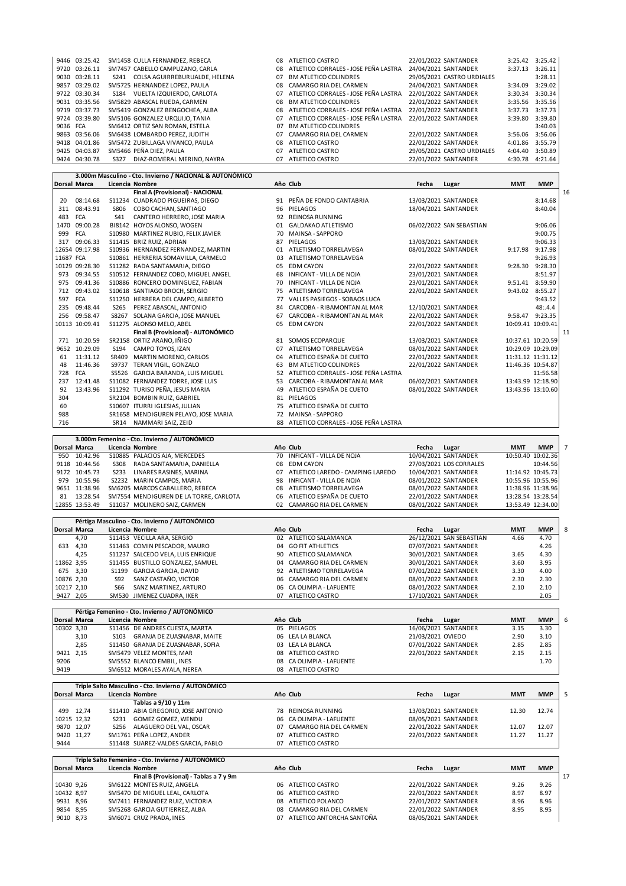|          | 9446 03:25.42 | SM1458 CULLA FERNANDEZ. REBECA     | 08        | ATLETICO CASTRO                      | 22/01/2022 SANTANDER       |         | 3:25.42 3:25.42 |
|----------|---------------|------------------------------------|-----------|--------------------------------------|----------------------------|---------|-----------------|
|          | 9720 03:26.11 | SM7457 CABELLO CAMPUZANO, CARLA    | 08        | ATLETICO CORRALES - JOSE PEÑA LASTRA | 24/04/2021 SANTANDER       | 3:37.13 | 3:26.11         |
|          | 9030 03:28.11 | S241 COLSA AGUIRREBURUALDE, HELENA | 07        | <b>BM ATLETICO COLINDRES</b>         | 29/05/2021 CASTRO URDIALES |         | 3:28.11         |
|          | 9857 03:29.02 | SM5725 HERNANDEZ LOPEZ, PAULA      | 08        | CAMARGO RIA DEL CARMEN               | 24/04/2021 SANTANDER       | 3:34.09 | 3:29.02         |
|          | 9722 03:30.34 | VUELTA IZQUIERDO, CARLOTA<br>S184  | 07        | ATLETICO CORRALES - JOSE PEÑA LASTRA | 22/01/2022 SANTANDER       |         | 3:30.34 3:30.34 |
|          | 9031 03:35.56 | SM5829 ABASCAL RUEDA, CARMEN       | 08        | <b>BM ATLETICO COLINDRES</b>         | 22/01/2022 SANTANDER       |         | 3:35.56 3:35.56 |
|          | 9719 03:37.73 | SM5419 GONZALEZ BENGOCHEA, ALBA    | <b>08</b> | ATLETICO CORRALES - JOSE PEÑA LASTRA | 22/01/2022 SANTANDER       |         | 3:37.73 3:37.73 |
|          | 9724 03:39.80 | SM5106 GONZALEZ URQUIJO. TANIA     | 07        | ATLETICO CORRALES - JOSE PEÑA LASTRA | 22/01/2022 SANTANDER       |         | 3:39.80 3:39.80 |
| 9036 FCA |               | SM6412 ORTIZ SAN ROMAN, ESTELA     | 07        | <b>BM ATLETICO COLINDRES</b>         |                            |         | 3:40.03         |
|          | 9863 03:56.06 | SM6438 LOMBARDO PEREZ. JUDITH      | 07        | CAMARGO RIA DEL CARMEN               | 22/01/2022 SANTANDER       |         | 3:56.06 3:56.06 |
|          | 9418 04:01.86 | SM5472 ZUBILLAGA VIVANCO, PAULA    | 08        | ATLETICO CASTRO                      | 22/01/2022 SANTANDER       |         | 4:01.86 3:55.79 |
|          | 9425 04:03.87 | SM5466 PEÑA DIEZ, PAULA            | 07        | ATLETICO CASTRO                      | 29/05/2021 CASTRO URDIALES | 4:04.40 | 3:50.89         |
|          | 9424 04:30.78 | DIAZ-ROMERAL MERINO, NAYRA<br>S327 | 07        | ATLETICO CASTRO                      | 22/01/2022 SANTANDER       |         | 4:30.78 4:21.64 |
|          |               |                                    |           |                                      |                            |         |                 |

|           |                     |      | 3.000m Masculino - Cto. Invierno / NACIONAL & AUTONÓMICO          |    |                                         |       |                          |                   |                   |
|-----------|---------------------|------|-------------------------------------------------------------------|----|-----------------------------------------|-------|--------------------------|-------------------|-------------------|
|           | <b>Dorsal Marca</b> |      | Licencia Nombre                                                   |    | Año Club                                | Fecha | Lugar                    | <b>MMT</b>        | <b>MMP</b>        |
|           |                     |      | <b>Final A (Provisional) - NACIONAL</b>                           |    |                                         |       |                          |                   |                   |
| 20        | 08:14.68            |      | S11234 CUADRADO PIGUEIRAS, DIEGO                                  |    | 91 PEÑA DE FONDO CANTABRIA              |       | 13/03/2021 SANTANDER     |                   | 8:14.68           |
| 311       | 08:43.91            | S806 | COBO CACHAN, SANTIAGO                                             | 96 | PIELAGOS                                |       | 18/04/2021 SANTANDER     |                   | 8:40.04           |
|           | 483 FCA             | S41  | CANTERO HERRERO, JOSE MARIA                                       |    | 92 REINOSA RUNNING                      |       |                          |                   |                   |
|           | 1470 09:00.28       |      | BI8142 HOYOS ALONSO, WOGEN                                        |    | 01 GALDAKAO ATLETISMO                   |       | 06/02/2022 SAN SEBASTIAN |                   | 9:06.06           |
| 999       | <b>FCA</b>          |      | S10980 MARTINEZ RUBIO, FELIX JAVIER                               |    | 70 MAINSA - SAPPORO                     |       |                          |                   | 9:00.75           |
|           | 317 09:06.33        |      | S11415 BRIZ RUIZ, ADRIAN                                          |    | 87 PIELAGOS                             |       | 13/03/2021 SANTANDER     |                   | 9:06.33           |
|           | 12654 09:17.98      |      | S10936 HERNANDEZ FERNANDEZ, MARTIN                                |    | 01 ATLETISMO TORRELAVEGA                |       | 08/01/2022 SANTANDER     |                   | 9:17.98 9:17.98   |
| 11687 FCA |                     |      | S10861 HERRERIA SOMAVILLA, CARMELO                                |    | 03 ATLETISMO TORRELAVEGA                |       |                          |                   | 9:26.93           |
|           | 10129 09:28.30      |      | S11282 RADA SANTAMARIA, DIEGO                                     |    | 05 EDM CAYON                            |       | 22/01/2022 SANTANDER     |                   | 9:28.30 9:28.30   |
| 973       | 09:34.55            |      | S10512 FERNANDEZ COBO, MIGUEL ANGEL                               |    | 68 INFICANT - VILLA DE NOJA             |       | 23/01/2021 SANTANDER     |                   | 8:51.97           |
| 975       | 09:41.36            |      | S10886 RONCERO DOMINGUEZ, FABIAN                                  | 70 | <b>INFICANT - VILLA DE NOJA</b>         |       | 23/01/2021 SANTANDER     |                   | 9:51.41 8:59.90   |
| 712       | 09:43.02            |      | S10618 SANTIAGO BROCH, SERGIO                                     |    | 75 ATLETISMO TORRELAVEGA                |       | 22/01/2022 SANTANDER     |                   | 9:43.02 8:55.27   |
|           | 597 FCA             |      | S11250 HERRERA DEL CAMPO, ALBERTO                                 |    | 77 VALLES PASIEGOS - SOBAOS LUCA        |       |                          |                   | 9:43.52           |
|           | 235 09:48.44        |      | S265 PEREZ ABASCAL, ANTONIO                                       |    | 84 CARCOBA - RIBAMONTAN AL MAR          |       | 12/10/2021 SANTANDER     |                   | 48:4.4            |
|           | 256 09:58.47        |      | S8267 SOLANA GARCIA, JOSE MANUEL                                  |    | 67 CARCOBA - RIBAMONTAN AL MAR          |       | 22/01/2022 SANTANDER     |                   | 9:58.47 9:23.35   |
|           | 10113 10:09.41      |      | S11275 ALONSO MELO, ABEL                                          |    | 05 EDM CAYON                            |       | 22/01/2022 SANTANDER     |                   | 10:09.41 10:09.41 |
|           |                     |      | Final B (Provisional) - AUTONÓMICO                                |    |                                         |       |                          |                   |                   |
|           | 771 10:20.59        |      | SR2158 ORTIZ ARANO, IÑIGO                                         |    | 81 SOMOS ECOPARQUE                      |       | 13/03/2021 SANTANDER     |                   | 10:37.61 10:20.59 |
|           | 9652 10:29.09       | S194 | CAMPO TOYOS, IZAN                                                 | 07 | ATLETISMO TORRELAVEGA                   |       | 08/01/2022 SANTANDER     |                   | 10:29.09 10:29.09 |
| 61        | 11:31.12            |      | SR409 MARTIN MORENO, CARLOS                                       |    | 04 ATLETICO ESPAÑA DE CUETO             |       | 22/01/2022 SANTANDER     |                   | 11:31.12 11:31.12 |
| 48        | 11:46.36            |      | S9737 TERAN VIGIL, GONZALO                                        |    | 63 BM ATLETICO COLINDRES                |       | 22/01/2022 SANTANDER     |                   | 11:46.36 10:54.87 |
| 728       | <b>FCA</b>          |      | S5526 GARCIA BARANDA, LUIS MIGUEL                                 |    | 52 ATLETICO CORRALES - JOSE PEÑA LASTRA |       |                          |                   | 11:56.58          |
| 237       | 12:41.48            |      | S11082 FERNANDEZ TORRE, JOSE LUIS                                 |    | 53 CARCOBA - RIBAMONTAN AL MAR          |       | 06/02/2021 SANTANDER     |                   | 13:43.99 12:18.90 |
| 92        | 13:43.96            |      | S11292 TURISO PEÑA, JESUS MARIA                                   |    | 49 ATLETICO ESPAÑA DE CUETO             |       | 08/01/2022 SANTANDER     |                   | 13:43.96 13:10.60 |
| 304       |                     |      | SR2104 BOMBIN RUIZ, GABRIEL                                       |    | 81 PIELAGOS                             |       |                          |                   |                   |
| 60        |                     |      | S10607 ITURRI IGLESIAS, JULIAN                                    |    | 75 ATLETICO ESPAÑA DE CUETO             |       |                          |                   |                   |
| 988       |                     |      | SR1658 MENDIGUREN PELAYO, JOSE MARIA                              |    | 72 MAINSA - SAPPORO                     |       |                          |                   |                   |
| 716       |                     | SR14 | NAMMARI SAIZ, ZEID                                                |    | 88 ATLETICO CORRALES - JOSE PEÑA LASTRA |       |                          |                   |                   |
|           |                     |      |                                                                   |    |                                         |       |                          |                   |                   |
|           |                     |      | 3.000m Femenino - Cto. Invierno / AUTONÓMICO                      |    |                                         |       |                          |                   |                   |
|           | Dorsal Marca        |      | Licencia Nombre                                                   |    | Año Club                                | Fecha | Lugar                    | <b>MMT</b>        | <b>MMP</b>        |
|           | 950 10:42.96        |      | S10885 PALACIOS AJA, MERCEDES                                     |    | 70 INFICANT - VILLA DE NOJA             |       | 10/04/2021 SANTANDER     |                   | 10:50.40 10:02.36 |
|           | 9118 10:44.56       | S308 | RADA SANTAMARIA, DANIELLA                                         | 08 | <b>EDM CAYON</b>                        |       | 27/03/2021 LOS CORRALES  |                   | 10:44.56          |
|           | 9172 10:45.73       | S233 | LINARES RASINES, MARINA                                           |    | 07 ATLETICO LAREDO - CAMPING LAREDO     |       | 10/04/2021 SANTANDER     |                   | 11:14.92 10:45.73 |
|           | 979 10:55.96        |      | S2232 MARIN CAMPOS, MARIA                                         |    | 98 INFICANT - VILLA DE NOJA             |       | 08/01/2022 SANTANDER     |                   | 10:55.96 10:55.96 |
|           | 9651 11:38.96       |      | SM6205 MARCOS CABALLERO, REBECA                                   | 08 | ATLETISMO TORRELAVEGA                   |       | 08/01/2022 SANTANDER     | 11:38.96 11:38.96 |                   |
| 81        | 13:28.54            |      | SM7554 MENDIGUREN DE LA TORRE, CARLOTA                            | 06 | ATLETICO ESPAÑA DE CUETO                |       | 22/01/2022 SANTANDER     |                   | 13:28.54 13:28.54 |
|           | 12855 13:53.49      |      | S11037 MOLINERO SAIZ, CARMEN                                      |    | 02 CAMARGO RIA DEL CARMEN               |       | 08/01/2022 SANTANDER     |                   | 13:53.49 12:34.00 |
|           |                     |      |                                                                   |    |                                         |       |                          |                   |                   |
|           | <b>Dorsal Marca</b> |      | Pértiga Masculino - Cto. Invierno / AUTONÓMICO<br>Licencia Nombre |    | Año Club                                | Fecha | Lugar                    | <b>MMT</b>        | <b>MMP</b>        |
|           |                     |      |                                                                   |    |                                         |       |                          |                   |                   |

|            | TDorsal Marca       |            | Licencia Nombre                               |    | ANO LIUD                  | recna             | Lugar                    | <b>IVIIVI I</b> | <b>IVIIVIP</b> |
|------------|---------------------|------------|-----------------------------------------------|----|---------------------------|-------------------|--------------------------|-----------------|----------------|
|            | 4,70                |            | S11453 VECILLA ARA, SERGIO                    |    | 02 ATLETICO SALAMANCA     |                   | 26/12/2021 SAN SEBASTIAN | 4.66            | 4.70           |
| 633        | 4,30                |            | S11463 COMIN PESCADOR, MAURO                  |    | 04 GO FIT ATHLETICS       |                   | 07/07/2021 SANTANDER     |                 | 4.26           |
|            | 4,25                |            | S11237 SALCEDO VELA, LUIS ENRIQUE             |    | 90 ATLETICO SALAMANCA     |                   | 30/01/2021 SANTANDER     | 3.65            | 4.30           |
| 11862 3,95 |                     |            | S11455 BUSTILLO GONZALEZ, SAMUEL              |    | 04 CAMARGO RIA DEL CARMEN |                   | 30/01/2021 SANTANDER     | 3.60            | 3.95           |
| 675        | 3.30                | S1199      | GARCIA GARCIA, DAVID                          | 92 | ATLETISMO TORRELAVEGA     |                   | 07/01/2022 SANTANDER     | 3.30            | 4.00           |
| 10876 2.30 |                     | S92        | SANZ CASTAÑO, VICTOR                          |    | 06 CAMARGO RIA DEL CARMEN |                   | 08/01/2022 SANTANDER     | 2.30            | 2.30           |
| 10217 2.10 |                     | <b>S66</b> | SANZ MARTINEZ, ARTURO                         |    | 06 CA OLIMPIA - LAFUENTE  |                   | 08/01/2022 SANTANDER     | 2.10            | 2.10           |
| 9427 2,05  |                     |            | SM530 JIMENEZ CUADRA, IKER                    | 07 | ATLETICO CASTRO           |                   | 17/10/2021 SANTANDER     |                 | 2.05           |
|            |                     |            |                                               |    |                           |                   |                          |                 |                |
|            |                     |            | Pértiga Femenino - Cto. Invierno / AUTONÓMICO |    |                           |                   |                          |                 |                |
|            | <b>Dorsal Marca</b> |            | Licencia Nombre                               |    | Año Club                  | Fecha             | Lugar                    | <b>MMT</b>      | <b>MMP</b>     |
| 10302 3,30 |                     |            | S11456 DE ANDRES CUESTA, MARTA                |    | 05 PIELAGOS               |                   | 16/06/2021 SANTANDER     | 3.15            | 3.30           |
|            | 3,10                |            | S103 GRANJA DE ZUASNABAR, MAITE               |    | 06 LEA LA BLANCA          | 21/03/2021 OVIEDO |                          | 2.90            | 3.10           |
|            | 2,85                |            | S11450 GRANJA DE ZUASNABAR. SOFIA             | 03 | LEA LA BLANCA             |                   | 07/01/2022 SANTANDER     | 2.85            | 2.85           |
|            |                     |            |                                               |    |                           |                   |                          |                 |                |
| 9421 2,15  |                     |            | SM5479 VELEZ MONTES, MAR                      | 08 | ATLETICO CASTRO           |                   | 22/01/2022 SANTANDER     | 2.15            | 2.15           |
| 9206       |                     |            | SM5552 BLANCO EMBIL, INES                     | 08 | CA OLIMPIA - LAFUENTE     |                   |                          |                 | 1.70           |

|             |                     | Triple Salto Masculino - Cto. Invierno / AUTONÓMICO |                                 |                      |       |            |            |    |
|-------------|---------------------|-----------------------------------------------------|---------------------------------|----------------------|-------|------------|------------|----|
|             | Dorsal Marca        | Licencia Nombre                                     | Año Club                        | Fecha                | Lugar | <b>MMT</b> | <b>MMP</b> | 5  |
|             |                     | Tablas a 9/10 y 11m                                 |                                 |                      |       |            |            |    |
| 499         | 12,74               | S11410 ABIA GREGORIO, JOSE ANTONIO                  | <b>REINOSA RUNNING</b><br>78    | 13/03/2021 SANTANDER |       | 12.30      | 12.74      |    |
| 10215 12,32 |                     | <b>GOMEZ GOMEZ, WENDU</b><br>S231                   | 06 CA OLIMPIA - LAFUENTE        | 08/05/2021 SANTANDER |       |            |            |    |
|             | 9870 12,07          | ALAGUERO DEL VAL. OSCAR<br>S256                     | CAMARGO RIA DEL CARMEN<br>07    | 22/01/2022 SANTANDER |       | 12.07      | 12.07      |    |
|             | 9420 11,27          | SM1761 PEÑA LOPEZ, ANDER                            | ATLETICO CASTRO<br>07           | 22/01/2022 SANTANDER |       | 11.27      | 11.27      |    |
| 9444        |                     | S11448 SUAREZ-VALDES GARCIA, PABLO                  | ATLETICO CASTRO<br>07           |                      |       |            |            |    |
|             |                     |                                                     |                                 |                      |       |            |            |    |
|             |                     |                                                     |                                 |                      |       |            |            |    |
|             |                     | Triple Salto Femenino - Cto. Invierno / AUTONÓMICO  |                                 |                      |       |            |            |    |
|             | <b>Dorsal Marca</b> | Licencia Nombre                                     | Año Club                        | Fecha                | Lugar | <b>MMT</b> | <b>MMP</b> |    |
|             |                     | Final B (Provisional) - Tablas a 7 y 9m             |                                 |                      |       |            |            | 17 |
| 10430 9,26  |                     | SM6122 MONTES RUIZ, ANGELA                          | 06 ATLETICO CASTRO              | 22/01/2022 SANTANDER |       | 9.26       | 9.26       |    |
| 10432 8,97  |                     | SM5470 DE MIGUEL LEAL, CARLOTA                      | ATLETICO CASTRO<br>06.          | 22/01/2022 SANTANDER |       | 8.97       | 8.97       |    |
| 9931 8,96   |                     | SM7411 FERNANDEZ RUIZ, VICTORIA                     | ATLETICO POLANCO<br>08          | 22/01/2022 SANTANDER |       | 8.96       | 8.96       |    |
| 9854 8,95   |                     | SM5268 GARCIA GUTIERREZ. ALBA                       | CAMARGO RIA DEL CARMEN<br>08.   | 22/01/2022 SANTANDER |       | 8.95       | 8.95       |    |
| 9010        | 8,73                | SM6071 CRUZ PRADA. INES                             | ATLETICO ANTORCHA SANTOÑA<br>07 | 08/05/2021 SANTANDER |       |            |            |    |